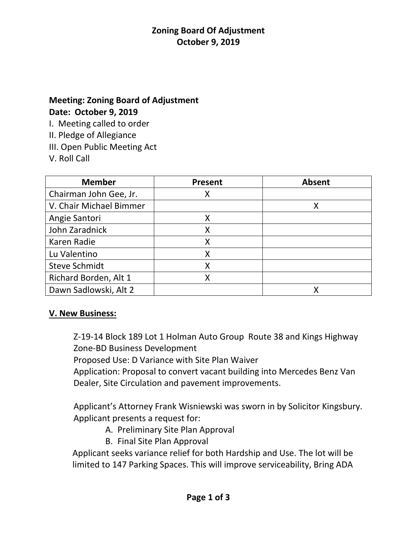## **Meeting: Zoning Board of Adjustment Date: October 9, 2019**

I. Meeting called to order

II. Pledge of Allegiance

III. Open Public Meeting Act

V. Roll Call

| <b>Member</b>           | <b>Present</b> | <b>Absent</b> |
|-------------------------|----------------|---------------|
| Chairman John Gee, Jr.  | Х              |               |
| V. Chair Michael Bimmer |                |               |
| Angie Santori           |                |               |
| John Zaradnick          | X              |               |
| Karen Radie             | X              |               |
| Lu Valentino            | Χ              |               |
| <b>Steve Schmidt</b>    |                |               |
| Richard Borden, Alt 1   | Χ              |               |
| Dawn Sadlowski, Alt 2   |                |               |

# **V. New Business:**

Z-19-14 Block 189 Lot 1 Holman Auto Group Route 38 and Kings Highway Zone-BD Business Development

Proposed Use: D Variance with Site Plan Waiver

Application: Proposal to convert vacant building into Mercedes Benz Van Dealer, Site Circulation and pavement improvements.

Applicant's Attorney Frank Wisniewski was sworn in by Solicitor Kingsbury. Applicant presents a request for:

- A. Preliminary Site Plan Approval
- B. Final Site Plan Approval

 Applicant seeks variance relief for both Hardship and Use. The lot will be limited to 147 Parking Spaces. This will improve serviceability, Bring ADA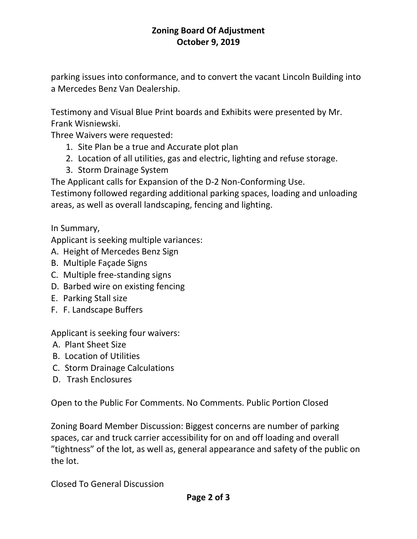parking issues into conformance, and to convert the vacant Lincoln Building into a Mercedes Benz Van Dealership.

Testimony and Visual Blue Print boards and Exhibits were presented by Mr. Frank Wisniewski.

Three Waivers were requested:

- 1. Site Plan be a true and Accurate plot plan
- 2. Location of all utilities, gas and electric, lighting and refuse storage.
- 3. Storm Drainage System

The Applicant calls for Expansion of the D-2 Non-Conforming Use.

Testimony followed regarding additional parking spaces, loading and unloading areas, as well as overall landscaping, fencing and lighting.

In Summary,

Applicant is seeking multiple variances:

- A. Height of Mercedes Benz Sign
- B. Multiple Façade Signs
- C. Multiple free-standing signs
- D. Barbed wire on existing fencing
- E. Parking Stall size
- F. F. Landscape Buffers

Applicant is seeking four waivers:

- A. Plant Sheet Size
- B. Location of Utilities
- C. Storm Drainage Calculations
- D. Trash Enclosures

Open to the Public For Comments. No Comments. Public Portion Closed

Zoning Board Member Discussion: Biggest concerns are number of parking spaces, car and truck carrier accessibility for on and off loading and overall "tightness" of the lot, as well as, general appearance and safety of the public on the lot.

Closed To General Discussion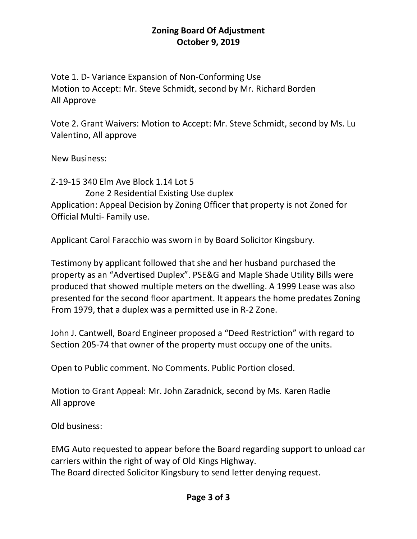Vote 1. D- Variance Expansion of Non-Conforming Use Motion to Accept: Mr. Steve Schmidt, second by Mr. Richard Borden All Approve

Vote 2. Grant Waivers: Motion to Accept: Mr. Steve Schmidt, second by Ms. Lu Valentino, All approve

New Business:

Z-19-15 340 Elm Ave Block 1.14 Lot 5 Zone 2 Residential Existing Use duplex Application: Appeal Decision by Zoning Officer that property is not Zoned for Official Multi- Family use.

Applicant Carol Faracchio was sworn in by Board Solicitor Kingsbury.

Testimony by applicant followed that she and her husband purchased the property as an "Advertised Duplex". PSE&G and Maple Shade Utility Bills were produced that showed multiple meters on the dwelling. A 1999 Lease was also presented for the second floor apartment. It appears the home predates Zoning From 1979, that a duplex was a permitted use in R-2 Zone.

John J. Cantwell, Board Engineer proposed a "Deed Restriction" with regard to Section 205-74 that owner of the property must occupy one of the units.

Open to Public comment. No Comments. Public Portion closed.

Motion to Grant Appeal: Mr. John Zaradnick, second by Ms. Karen Radie All approve

Old business:

EMG Auto requested to appear before the Board regarding support to unload car carriers within the right of way of Old Kings Highway. The Board directed Solicitor Kingsbury to send letter denying request.